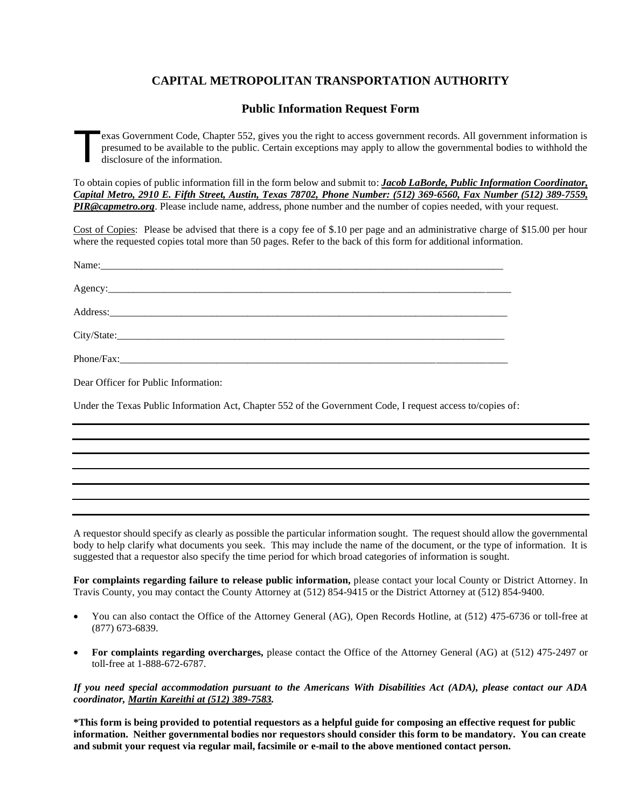# **CAPITAL METROPOLITAN TRANSPORTATION AUTHORITY**

# **Public Information Request Form**

exas Government Code, Chapter 552, gives you the right to access government records. All government information is presumed to be available to the public. Certain exceptions may apply to allow the governmental bodies to withhold the disclosure of the information. T

To obtain copies of public information fill in the form below and submit to: *Jacob LaBorde, Public Information Coordinator, Capital Metro, 2910 E. Fifth Street, Austin, Texas 78702, Phone Number: (512) 369-6560, Fax Number (512) 389-7559, PIR@capmetro.org*. Please include name, address, phone number and the number of copies needed, with your request.

Cost of Copies: Please be advised that there is a copy fee of \$.10 per page and an administrative charge of \$15.00 per hour where the requested copies total more than 50 pages. Refer to the back of this form for additional information.

| Name: Name and the second contract of the second contract of the second contract of the second contract of the second contract of the second contract of the second contract of the second contract of the second contract of |
|-------------------------------------------------------------------------------------------------------------------------------------------------------------------------------------------------------------------------------|
|                                                                                                                                                                                                                               |
|                                                                                                                                                                                                                               |
|                                                                                                                                                                                                                               |
|                                                                                                                                                                                                                               |
| Dear Officer for Public Information:                                                                                                                                                                                          |

Under the Texas Public Information Act, Chapter 552 of the Government Code, I request access to/copies of:

A requestor should specify as clearly as possible the particular information sought. The request should allow the governmental body to help clarify what documents you seek. This may include the name of the document, or the type of information. It is suggested that a requestor also specify the time period for which broad categories of information is sought.

**For complaints regarding failure to release public information,** please contact your local County or District Attorney. In Travis County, you may contact the County Attorney at (512) 854-9415 or the District Attorney at (512) 854-9400.

- You can also contact the Office of the Attorney General (AG), Open Records Hotline, at (512) 475-6736 or toll-free at (877) 673-6839.
- **For complaints regarding overcharges,** please contact the Office of the Attorney General (AG) at (512) 475-2497 or toll-free at 1-888-672-6787.

*If you need special accommodation pursuant to the Americans With Disabilities Act (ADA), please contact our ADA coordinator, Martin Kareithi at (512) 389-7583.*

**\*This form is being provided to potential requestors as a helpful guide for composing an effective request for public information. Neither governmental bodies nor requestors should consider this form to be mandatory. You can create and submit your request via regular mail, facsimile or e-mail to the above mentioned contact person.**